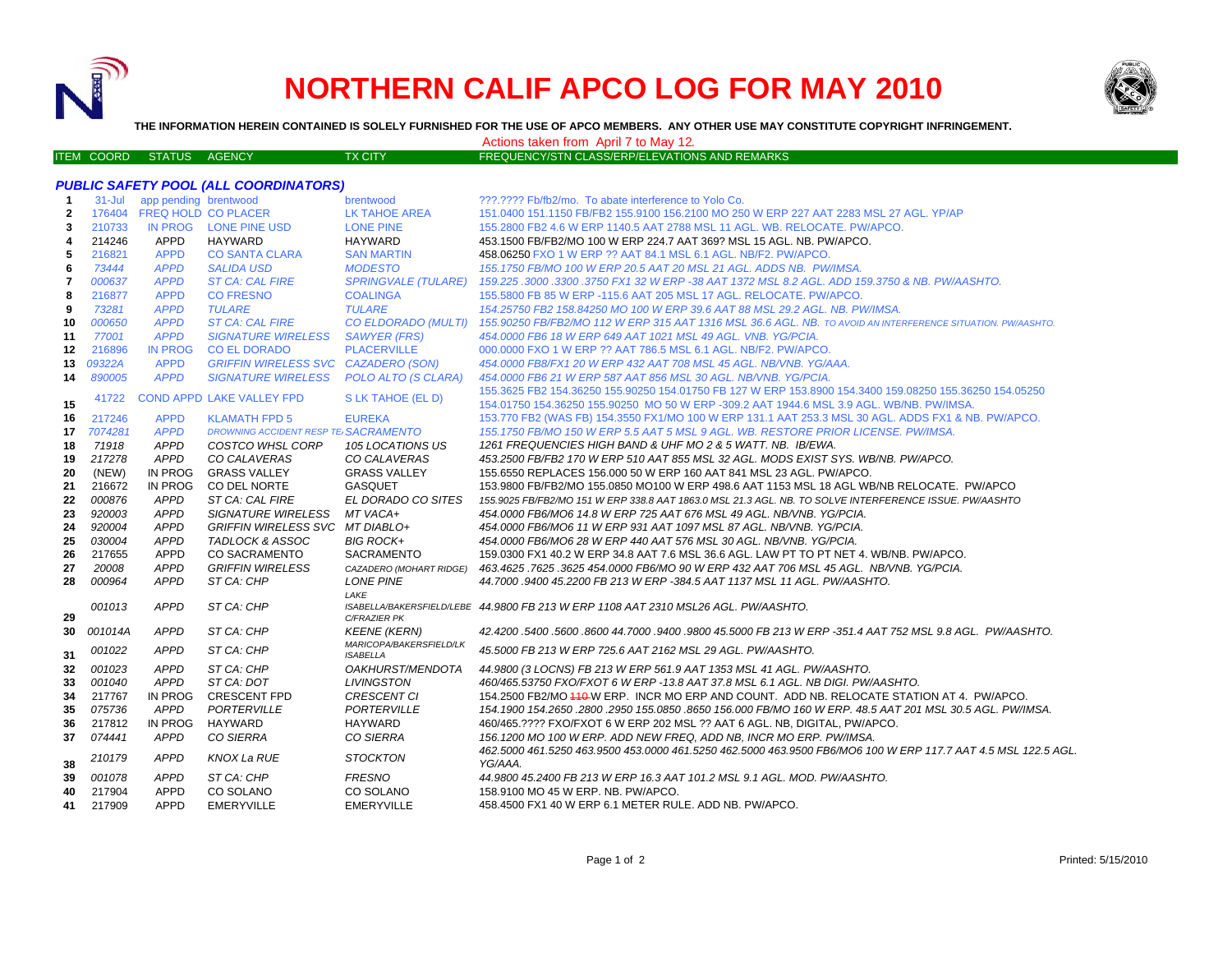

*PUBLIC SAFETY POOL (ALL COORDINATORS)*

# **NORTHERN CALIF APCO LOG FOR MAY 2010**



**THE INFORMATION HEREIN CONTAINED IS SOLELY FURNISHED FOR THE USE OF APCO MEMBERS. ANY OTHER USE MAY CONSTITUTE COPYRIGHT INFRINGEMENT.**

Actions taken from April 7 to May 12.

|  | ITEM COORD STATUS I | AGENCY | TX CITY | FREQUENCY/STN CLASS/ERP/ELEVATIONS AND REMARKS |
|--|---------------------|--------|---------|------------------------------------------------|
|  |                     |        |         |                                                |

### **1** 31-Jul app pending brentwood brentwood ???.???? Fb/fb2/mo. To abate interference to Yolo Co. **2** 176404 FREQ HOLD CO PLACER LK TAHOE AREA 151.0400 151.1150 FB/FB2 155.9100 156.2100 MO 250 W ERP 227 AAT 2283 MSL 27 AGL. YP/AP**3** 210733 IN PROG LONE PINE USD LONE PINE 155.2800 FB2 4.6 W ERP 1140.5 AAT 2788 MSL 11 AGL. WB. RELOCATE. PW/APCO. **4** 214246 APPD HAYWARD HAYWARD 453.1500 FB/FB2/MO 100 W ERP 224.7 AAT 369? MSL 15 AGL. NB. PW/APCO. **5**216821 APPD CO SANTA CLARA SAN MARTIN 458.06250 FXO 1 W ERP ?? AAT 84.1 MSL 6.1 AGL. NB/F2. PW/APCO. **6** *73444 APPD SALIDA USD MODESTO 155.1750 FB/MO 100 W ERP 20.5 AAT 20 MSL 21 AGL. ADDS NB. PW/IMSA.* **7** *000637 APPD ST CA: CAL FIRE SPRINGVALE (TULARE) 159.225 .3000 .3300 .3750 FX1 32 W ERP -38 AAT 1372 MSL 8.2 AGL. ADD 159.3750 & NB. PW/AASHTO.* **8** 216877 APPD CO FRESNO COALINGA 155.5800 FB 85 W ERP -115.6 AAT 205 MSL 17 AGL. RELOCATE. PW/APCO. **9** *73281 APPD TULARE TULARE 154.25750 FB2 158.84250 MO 100 W ERP 39.6 AAT 88 MSL 29.2 AGL. NB. PW/IMSA.* **10** *000650 APPD ST CA: CAL FIRE CO ELDORADO (MULTI) 155.90250 FB/FB2/MO 112 W ERP 315 AAT 1316 MSL 36.6 AGL. NB. TO AVOID AN INTERFERENCE SITUATION. PW/AASHTO.* **11** *77001 APPD SIGNATURE WIRELESS SAWYER (FRS) 454.0000 FB6 18 W ERP 649 AAT 1021 MSL 49 AGL. VNB. YG/PCIA.* **12** 216896 IN PROG CO EL DORADO PLACERVILLE 000.0000 FXO 1 W ERP ?? AAT 786.5 MSL 6.1 AGL. NB/F2. PW/APCO. **13** *09322A* APPD *GRIFFIN WIRELESS SVC CAZADERO (SON) 454.0000 FB8/FX1 20 W ERP 432 AAT 708 MSL 45 AGL. NB/VNB. YG/AAA.* **14** *890005 APPD SIGNATURE WIRELESS POLO ALTO (S CLARA) 454.0000 FB6 21 W ERP 587 AAT 856 MSL 30 AGL. NB/VNB. YG/PCIA.* **15**155.36250 156.36250 156.3625 FB2 154.36250 155.90250 154.01750 FB 127 W ERP 153.8900 154.3400 159.08250 155.36250 154.05250 154.05250 154.05250 154.05250 154.05250 154.05250 154.0750 154.0750 154.0750 154.36250 155.90250 M **16** 217246 APPD KLAMATH FPD 5 EUREKA 153.770 FB2 (WAS FB) 154.3550 FX1/MO 100 W ERP 131.1 AAT 253.3 MSL 30 AGL. ADDS FX1 & NB. PW/APCO. **17** *7074281 APPD***DROWNING ACCIDENT RESP TE SACRAMENTO**  *155.1750 FB/MO 150 W ERP 5.5 AAT 5 MSL 9 AGL. WB. RESTORE PRIOR LICENSE. PW/IMSA.* **18** *71918 APPD COSTCO WHSL CORP 105 LOCATIONS US 1261 FREQUENCIES HIGH BAND & UHF MO 2 & 5 WATT. NB. IB/EWA.* **19** *217278 APPD CO CALAVERAS CO CALAVERAS 453.2500 FB/FB2 170 W ERP 510 AAT 855 MSL 32 AGL. MODS EXIST SYS. WB/NB. PW/APCO.* **20** (NEW) IN PROG GRASS VALLEY GRASS VALLEY 155.6550 REPLACES 156.000 50 W ERP 160 AAT 841 MSL 23 AGL. PW/APCO. **21** 216672 IN PROG CO DEL NORTE GASQUET 153.9800 FB/FB2/MO 155.0850 MO100 W ERP 498.6 AAT 1153 MSL 18 AGL WB/NB RELOCATE. PW/APCO**22** *000876 APPD ST CA: CAL FIRE EL DORADO CO SITES 155.9025 FB/FB2/MO 151 W ERP 338.8 AAT 1863.0 MSL 21.3 AGL. NB. TO SOLVE INTERFERENCE ISSUE. PW/AASHTO***23** *920003 APPD SIGNATURE WIRELESS MT VACA+ 454.0000 FB6/MO6 14.8 W ERP 725 AAT 676 MSL 49 AGL. NB/VNB. YG/PCIA.* **24** *920004 APPD GRIFFIN WIRELESS SVC MT DIABLO+ 454.0000 FB6/MO6 11 W ERP 931 AAT 1097 MSL 87 AGL. NB/VNB. YG/PCIA.* **25** *030004 APPD TADLOCK & ASSOC BIG ROCK+ 454.0000 FB6/MO6 28 W ERP 440 AAT 576 MSL 30 AGL. NB/VNB. YG/PCIA.* **26** 217655 APPD CO SACRAMENTO SACRAMENTO 159.0300 FX1 40.2 W ERP 34.8 AAT 7.6 MSL 36.6 AGL. LAW PT TO PT NET 4. WB/NB. PW/APCO. **27** *20008 APPD GRIFFIN WIRELESS CAZADERO (MOHART RIDGE) 463.4625 .7625 .3625 454.0000 FB6/MO 90 W ERP 432 AAT 706 MSL 45 AGL. NB/VNB. YG/PCIA.* **28** *000964 APPD ST CA: CHP LONE PINE 44.7000 .9400 45.2200 FB 213 W ERP -384.5 AAT 1137 MSL 11 AGL. PW/AASHTO.* **29***001013 APPD ST CA: CHPLAKE ISABELLA/BAKERSFIELD/LEBE44.9800 FB 213 W ERP 1108 AAT 2310 MSL26 AGL. PW/AASHTO.C/FRAZIER PK***30** *001014A APPD ST CA: CHP KEENE (KERN) 42.4200 .5400 .5600 .8600 44.7000 .9400 .9800 45.5000 FB 213 W ERP -351.4 AAT 752 MSL 9.8 AGL. PW/AASHTO.* **31** *<sup>001022</sup> APPD ST CA: CHP MARICOPA/BAKERSFIELD/LK ISABELLA 45.5000 FB 213 W ERP 725.6 AAT 2162 MSL 29 AGL. PW/AASHTO.* **32** *001023 APPD ST CA: CHP OAKHURST/MENDOTA 44.9800 (3 LOCNS) FB 213 W ERP 561.9 AAT 1353 MSL 41 AGL. PW/AASHTO.* **33** *001040 APPD ST CA: DOT LIVINGSTON 460/465.53750 FXO/FXOT 6 W ERP -13.8 AAT 37.8 MSL 6.1 AGL. NB DIGI. PW/AASHTO.* **34** 217767 IN PROG CRESCENT FPD *CRESCENT CI* 154.2500 FB2/MO 110 W ERP. INCR MO ERP AND COUNT. ADD NB. RELOCATE STATION AT 4. PW/APCO. **35** *075736 APPD PORTERVILLE PORTERVILLE 154.1900 154.2650 .2800 .2950 155.0850 .8650 156.000 FB/MO 160 W ERP. 48.5 AAT 201 MSL 30.5 AGL. PW/IMSA.*  **36** 217812 IN PROG HAYWARD HAYWARD 460/465.???? FXO/FXOT 6 W ERP 202 MSL ?? AAT 6 AGL. NB, DIGITAL, PW/APCO. **37** *074441 APPD CO SIERRA CO SIERRA 156.1200 MO 100 W ERP. ADD NEW FREQ, ADD NB, INCR MO ERP. PW/IMSA.* **38** *<sup>210179</sup> APPD KNOX La RUE STOCKTON 462.5000 461.5250 463.9500 453.0000 461.5250 462.5000 463.9500 FB6/MO6 100 W ERP 117.7 AAT 4.5 MSL 122.5 AGL. YG/AAA.* **39** *001078 APPD ST CA: CHP FRESNO 44.9800 45.2400 FB 213 W ERP 16.3 AAT 101.2 MSL 9.1 AGL. MOD. PW/AASHTO.* **40** 217904 APPD CO SOLANO CO SOLANO 158.9100 MO 45 W ERP. NB. PW/APCO. **41** 217909 APPD EMERYVILLE EMERYVILLE458.4500 FX1 40 W ERP 6.1 METER RULE. ADD NB. PW/APCO.